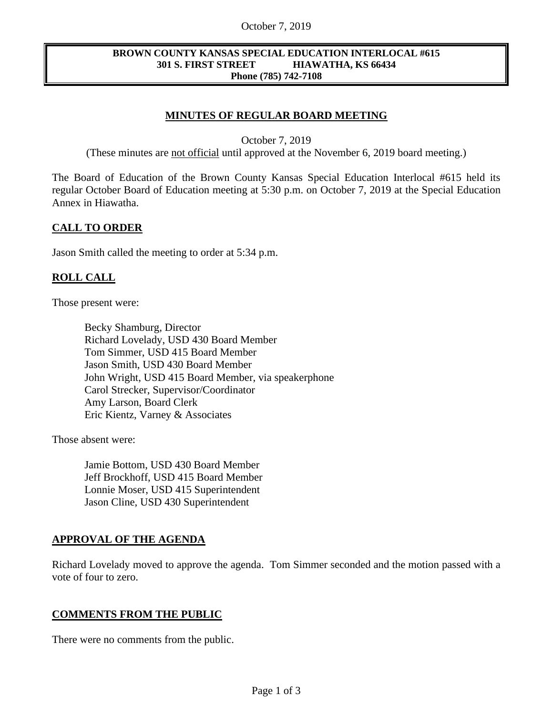#### October 7, 2019

#### **BROWN COUNTY KANSAS SPECIAL EDUCATION INTERLOCAL #615 301 S. FIRST STREET HIAWATHA, KS 66434 Phone (785) 742-7108**

# **MINUTES OF REGULAR BOARD MEETING**

October 7, 2019

(These minutes are not official until approved at the November 6, 2019 board meeting.)

The Board of Education of the Brown County Kansas Special Education Interlocal #615 held its regular October Board of Education meeting at 5:30 p.m. on October 7, 2019 at the Special Education Annex in Hiawatha.

## **CALL TO ORDER**

Jason Smith called the meeting to order at 5:34 p.m.

# **ROLL CALL**

Those present were:

Becky Shamburg, Director Richard Lovelady, USD 430 Board Member Tom Simmer, USD 415 Board Member Jason Smith, USD 430 Board Member John Wright, USD 415 Board Member, via speakerphone Carol Strecker, Supervisor/Coordinator Amy Larson, Board Clerk Eric Kientz, Varney & Associates

Those absent were:

Jamie Bottom, USD 430 Board Member Jeff Brockhoff, USD 415 Board Member Lonnie Moser, USD 415 Superintendent Jason Cline, USD 430 Superintendent

# **APPROVAL OF THE AGENDA**

Richard Lovelady moved to approve the agenda. Tom Simmer seconded and the motion passed with a vote of four to zero.

### **COMMENTS FROM THE PUBLIC**

There were no comments from the public.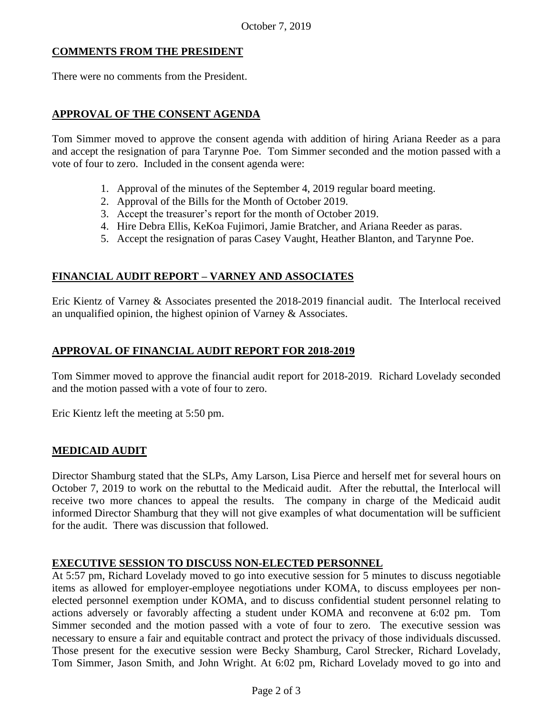## **COMMENTS FROM THE PRESIDENT**

There were no comments from the President.

## **APPROVAL OF THE CONSENT AGENDA**

Tom Simmer moved to approve the consent agenda with addition of hiring Ariana Reeder as a para and accept the resignation of para Tarynne Poe. Tom Simmer seconded and the motion passed with a vote of four to zero. Included in the consent agenda were:

- 1. Approval of the minutes of the September 4, 2019 regular board meeting.
- 2. Approval of the Bills for the Month of October 2019.
- 3. Accept the treasurer's report for the month of October 2019.
- 4. Hire Debra Ellis, KeKoa Fujimori, Jamie Bratcher, and Ariana Reeder as paras.
- 5. Accept the resignation of paras Casey Vaught, Heather Blanton, and Tarynne Poe.

# **FINANCIAL AUDIT REPORT – VARNEY AND ASSOCIATES**

Eric Kientz of Varney & Associates presented the 2018-2019 financial audit. The Interlocal received an unqualified opinion, the highest opinion of Varney & Associates.

## **APPROVAL OF FINANCIAL AUDIT REPORT FOR 2018-2019**

Tom Simmer moved to approve the financial audit report for 2018-2019. Richard Lovelady seconded and the motion passed with a vote of four to zero.

Eric Kientz left the meeting at 5:50 pm.

### **MEDICAID AUDIT**

Director Shamburg stated that the SLPs, Amy Larson, Lisa Pierce and herself met for several hours on October 7, 2019 to work on the rebuttal to the Medicaid audit. After the rebuttal, the Interlocal will receive two more chances to appeal the results. The company in charge of the Medicaid audit informed Director Shamburg that they will not give examples of what documentation will be sufficient for the audit. There was discussion that followed.

### **EXECUTIVE SESSION TO DISCUSS NON-ELECTED PERSONNEL**

At 5:57 pm, Richard Lovelady moved to go into executive session for 5 minutes to discuss negotiable items as allowed for employer-employee negotiations under KOMA, to discuss employees per nonelected personnel exemption under KOMA, and to discuss confidential student personnel relating to actions adversely or favorably affecting a student under KOMA and reconvene at 6:02 pm. Tom Simmer seconded and the motion passed with a vote of four to zero. The executive session was necessary to ensure a fair and equitable contract and protect the privacy of those individuals discussed. Those present for the executive session were Becky Shamburg, Carol Strecker, Richard Lovelady, Tom Simmer, Jason Smith, and John Wright. At 6:02 pm, Richard Lovelady moved to go into and